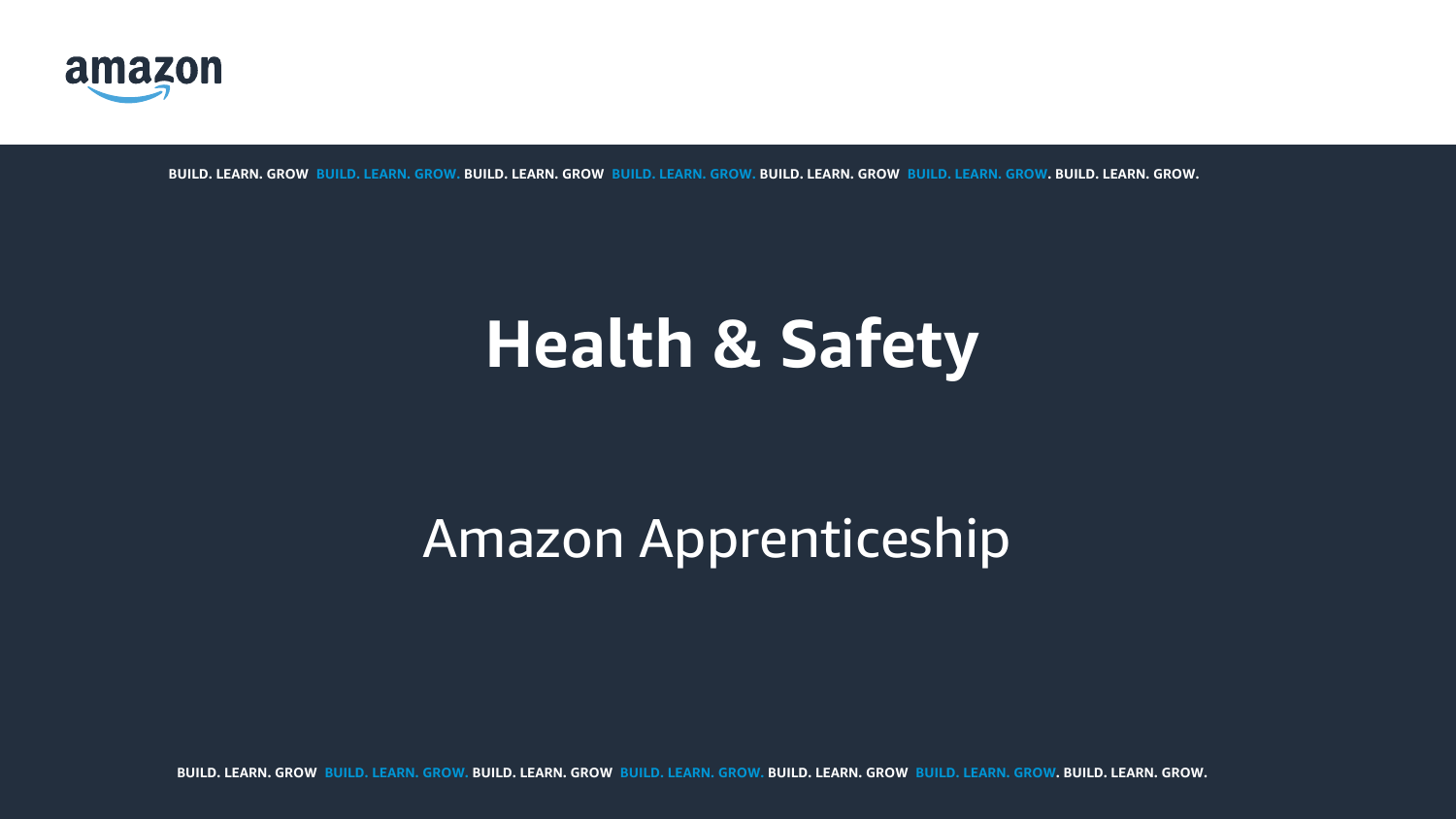

**BUILD. LEARN. GROW. BUILD. LEARN. GROW. BUILD. LEARN. GROW. BUILD. LEARN. GROW. BUILD. LEARN. GROW. BUILD. LEARN. GROW. BUILD. LEARN. GROW.**

# Amazon Apprenticeship

# **Health & Safety**

**BUILD. LEARN. GROW. BUILD. LEARN. GROW. BUILD. LEARN. GROW. BUILD. LEARN. GROW. BUILD. LEARN. GROW. BUILD. LEARN. GROW. BUILD. LEARN. GROW.**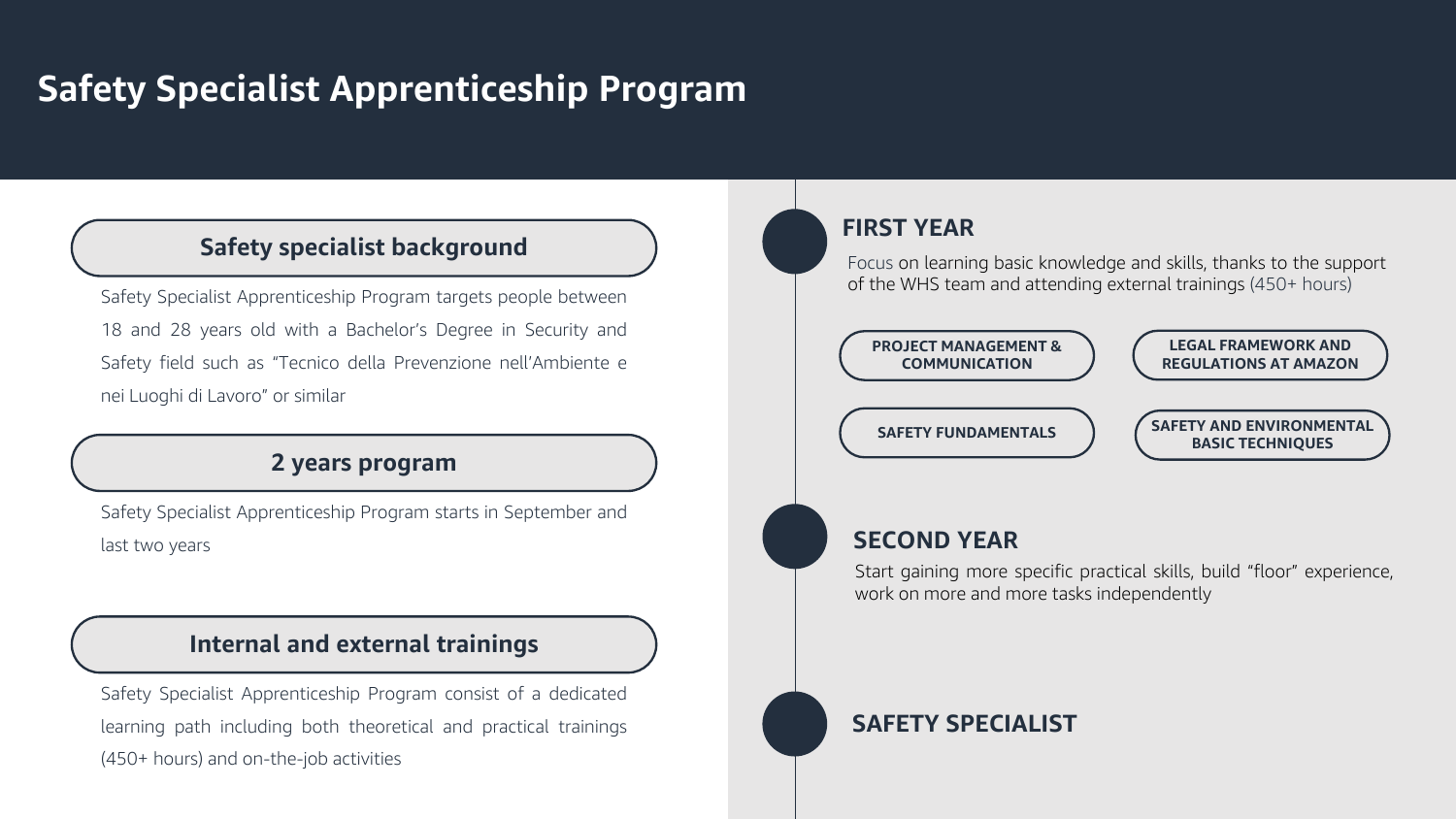# **Safety Specialist Apprenticeship Program**

## **Safety specialist background**

Safety Specialist Apprenticeship Program targets people between 18 and 28 years old with a Bachelor's Degree in Security and Safety field such as "Tecnico della Prevenzione nell'Ambiente e nei Luoghi di Lavoro" or similar

## **2 years program**

Safety Specialist Apprenticeship Program starts in September and last two years

## **Internal and external trainings**

Safety Specialist Apprenticeship Program consist of a dedicated learning path including both theoretical and practical trainings (450+ hours) and on-the-job activities

## **FIRST YEAR**

Focus on learning basic knowledge and skills, thanks to the support of the WHS team and attending external trainings (450+ hours)

## **SECOND YEAR**

Start gaining more specific practical skills, build "floor" experience, work on more and more tasks independently

## **SAFETY SPECIALIST**





#### **SAFETY AND ENVIRONMENTAL BASIC TECHNIQUES**

**LEGAL FRAMEWORK AND REGULATIONS AT AMAZON**

#### **PROJECT MANAGEMENT & COMMUNICATION**

**SAFETY FUNDAMENTALS**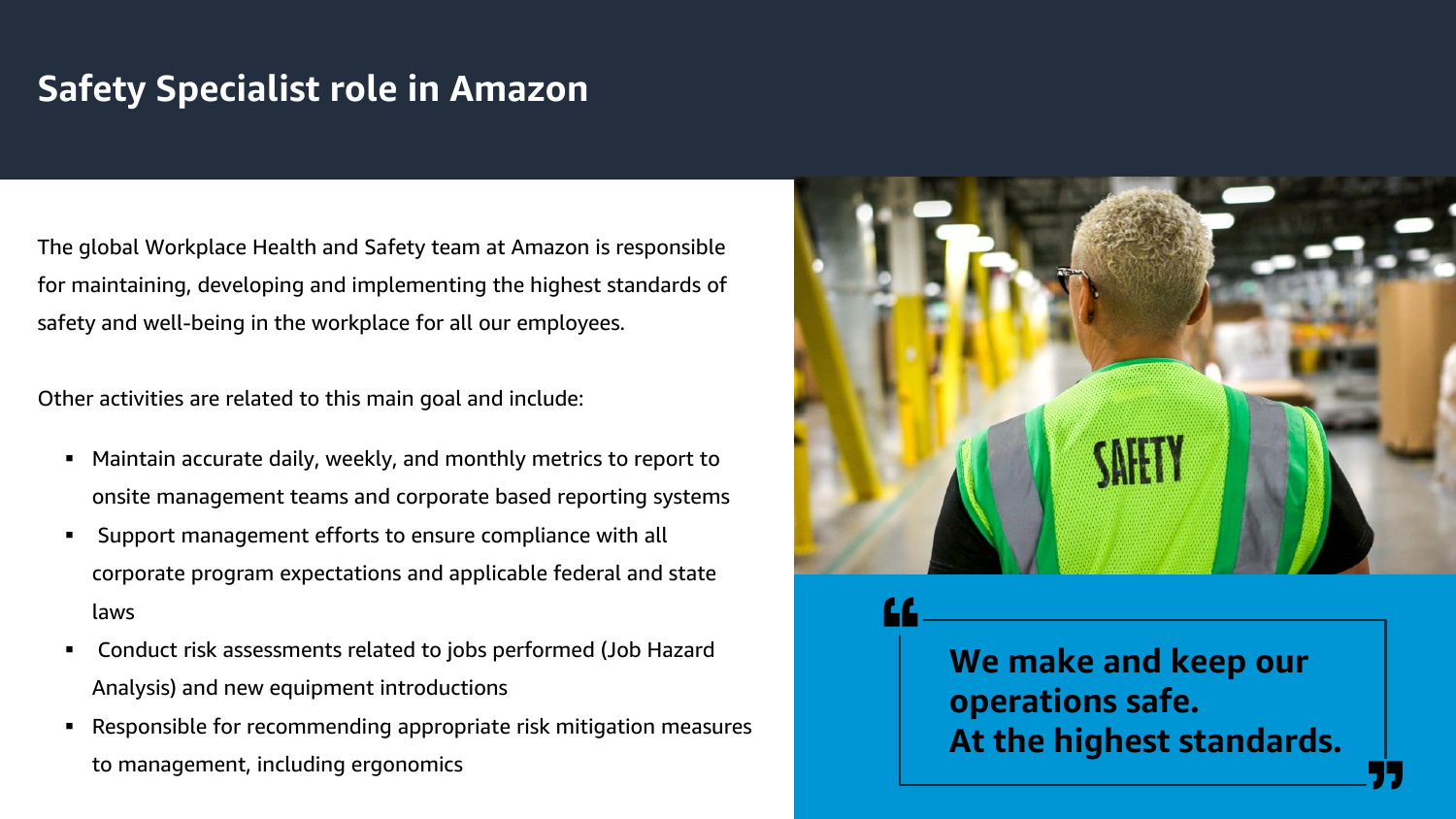# **Safety Specialist role in Amazon**

**We make and keep our operations safe. At the highest standards.**



The global Workplace Health and Safety team at Amazon is responsible for maintaining, developing and implementing the highest standards of safety and well-being in the workplace for all our employees.

Other activities are related to this main goal and include:

- Maintain accurate daily, weekly, and monthly metrics to report to onsite management teams and corporate based reporting systems
- Support management efforts to ensure compliance with all corporate program expectations and applicable federal and state laws
- Conduct risk assessments related to jobs performed (Job Hazard Analysis) and new equipment introductions
- Responsible for recommending appropriate risk mitigation measures to management, including ergonomics